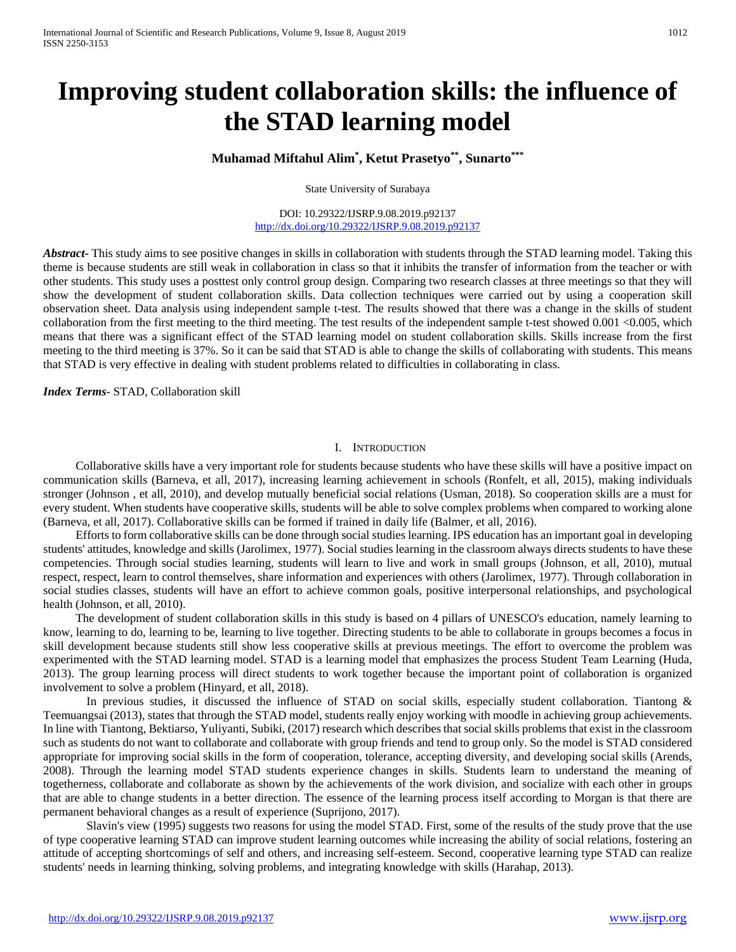# **Improving student collaboration skills: the influence of the STAD learning model**

# **Muhamad Miftahul Alim\* , Ketut Prasetyo\*\*, Sunarto\*\*\***

State University of Surabaya

DOI: 10.29322/IJSRP.9.08.2019.p92137 <http://dx.doi.org/10.29322/IJSRP.9.08.2019.p92137>

*Abstract***-** This study aims to see positive changes in skills in collaboration with students through the STAD learning model. Taking this theme is because students are still weak in collaboration in class so that it inhibits the transfer of information from the teacher or with other students. This study uses a posttest only control group design. Comparing two research classes at three meetings so that they will show the development of student collaboration skills. Data collection techniques were carried out by using a cooperation skill observation sheet. Data analysis using independent sample t-test. The results showed that there was a change in the skills of student collaboration from the first meeting to the third meeting. The test results of the independent sample t-test showed 0.001 <0.005, which means that there was a significant effect of the STAD learning model on student collaboration skills. Skills increase from the first meeting to the third meeting is 37%. So it can be said that STAD is able to change the skills of collaborating with students. This means that STAD is very effective in dealing with student problems related to difficulties in collaborating in class.

*Index Terms*- STAD, Collaboration skill

#### I. INTRODUCTION

Collaborative skills have a very important role for students because students who have these skills will have a positive impact on communication skills (Barneva, et all, 2017), increasing learning achievement in schools (Ronfelt, et all, 2015), making individuals stronger (Johnson , et all, 2010), and develop mutually beneficial social relations (Usman, 2018). So cooperation skills are a must for every student. When students have cooperative skills, students will be able to solve complex problems when compared to working alone (Barneva, et all, 2017). Collaborative skills can be formed if trained in daily life (Balmer, et all, 2016).

Efforts to form collaborative skills can be done through social studies learning. IPS education has an important goal in developing students' attitudes, knowledge and skills (Jarolimex, 1977). Social studies learning in the classroom always directs students to have these competencies. Through social studies learning, students will learn to live and work in small groups (Johnson, et all, 2010), mutual respect, respect, learn to control themselves, share information and experiences with others (Jarolimex, 1977). Through collaboration in social studies classes, students will have an effort to achieve common goals, positive interpersonal relationships, and psychological health (Johnson, et all, 2010).

The development of student collaboration skills in this study is based on 4 pillars of UNESCO's education, namely learning to know, learning to do, learning to be, learning to live together. Directing students to be able to collaborate in groups becomes a focus in skill development because students still show less cooperative skills at previous meetings. The effort to overcome the problem was experimented with the STAD learning model. STAD is a learning model that emphasizes the process Student Team Learning (Huda, 2013). The group learning process will direct students to work together because the important point of collaboration is organized involvement to solve a problem (Hinyard, et all, 2018).

In previous studies, it discussed the influence of STAD on social skills, especially student collaboration. Tiantong & Teemuangsai (2013), states that through the STAD model, students really enjoy working with moodle in achieving group achievements. In line with Tiantong, Bektiarso, Yuliyanti, Subiki, (2017) research which describes that social skills problems that exist in the classroom such as students do not want to collaborate and collaborate with group friends and tend to group only. So the model is STAD considered appropriate for improving social skills in the form of cooperation, tolerance, accepting diversity, and developing social skills (Arends, 2008). Through the learning model STAD students experience changes in skills. Students learn to understand the meaning of togetherness, collaborate and collaborate as shown by the achievements of the work division, and socialize with each other in groups that are able to change students in a better direction. The essence of the learning process itself according to Morgan is that there are permanent behavioral changes as a result of experience (Suprijono, 2017).

Slavin's view (1995) suggests two reasons for using the model STAD. First, some of the results of the study prove that the use of type cooperative learning STAD can improve student learning outcomes while increasing the ability of social relations, fostering an attitude of accepting shortcomings of self and others, and increasing self-esteem. Second, cooperative learning type STAD can realize students' needs in learning thinking, solving problems, and integrating knowledge with skills (Harahap, 2013).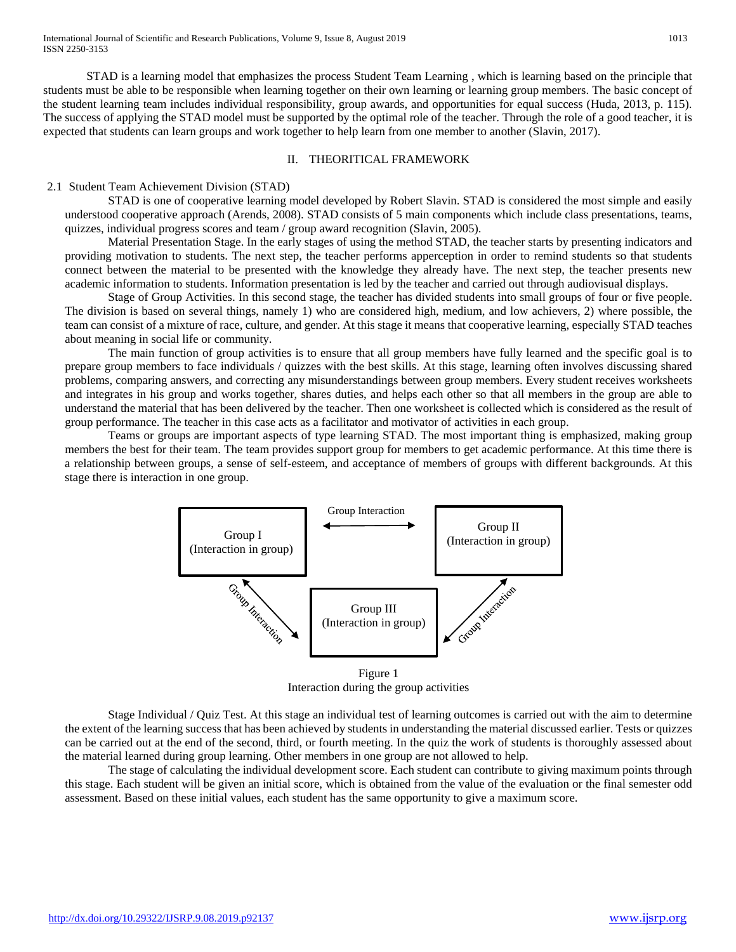STAD is a learning model that emphasizes the process Student Team Learning , which is learning based on the principle that students must be able to be responsible when learning together on their own learning or learning group members. The basic concept of the student learning team includes individual responsibility, group awards, and opportunities for equal success (Huda, 2013, p. 115). The success of applying the STAD model must be supported by the optimal role of the teacher. Through the role of a good teacher, it is expected that students can learn groups and work together to help learn from one member to another (Slavin, 2017).

## II. THEORITICAL FRAMEWORK

### 2.1 Student Team Achievement Division (STAD)

STAD is one of cooperative learning model developed by Robert Slavin. STAD is considered the most simple and easily understood cooperative approach (Arends, 2008). STAD consists of 5 main components which include class presentations, teams, quizzes, individual progress scores and team / group award recognition (Slavin, 2005).

Material Presentation Stage. In the early stages of using the method STAD, the teacher starts by presenting indicators and providing motivation to students. The next step, the teacher performs apperception in order to remind students so that students connect between the material to be presented with the knowledge they already have. The next step, the teacher presents new academic information to students. Information presentation is led by the teacher and carried out through audiovisual displays.

Stage of Group Activities. In this second stage, the teacher has divided students into small groups of four or five people. The division is based on several things, namely 1) who are considered high, medium, and low achievers, 2) where possible, the team can consist of a mixture of race, culture, and gender. At this stage it means that cooperative learning, especially STAD teaches about meaning in social life or community.

The main function of group activities is to ensure that all group members have fully learned and the specific goal is to prepare group members to face individuals / quizzes with the best skills. At this stage, learning often involves discussing shared problems, comparing answers, and correcting any misunderstandings between group members. Every student receives worksheets and integrates in his group and works together, shares duties, and helps each other so that all members in the group are able to understand the material that has been delivered by the teacher. Then one worksheet is collected which is considered as the result of group performance. The teacher in this case acts as a facilitator and motivator of activities in each group.

Teams or groups are important aspects of type learning STAD. The most important thing is emphasized, making group members the best for their team. The team provides support group for members to get academic performance. At this time there is a relationship between groups, a sense of self-esteem, and acceptance of members of groups with different backgrounds. At this stage there is interaction in one group.



Interaction during the group activities

Stage Individual / Quiz Test. At this stage an individual test of learning outcomes is carried out with the aim to determine the extent of the learning success that has been achieved by students in understanding the material discussed earlier. Tests or quizzes can be carried out at the end of the second, third, or fourth meeting. In the quiz the work of students is thoroughly assessed about the material learned during group learning. Other members in one group are not allowed to help.

The stage of calculating the individual development score. Each student can contribute to giving maximum points through this stage. Each student will be given an initial score, which is obtained from the value of the evaluation or the final semester odd assessment. Based on these initial values, each student has the same opportunity to give a maximum score.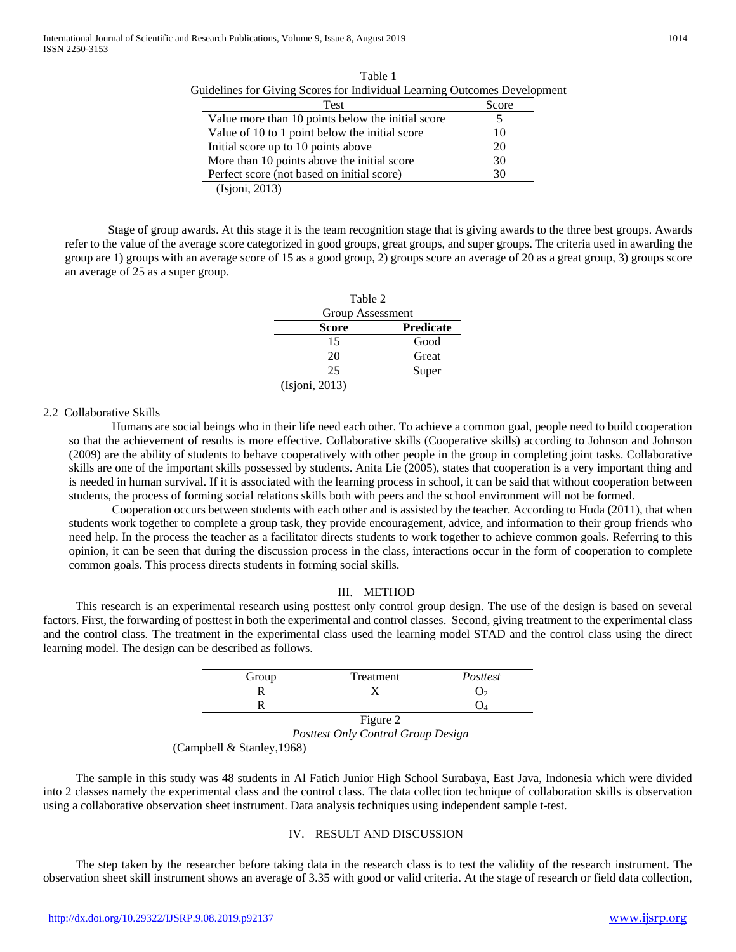| <b>Test</b>                                       | Score |
|---------------------------------------------------|-------|
| Value more than 10 points below the initial score |       |
| Value of 10 to 1 point below the initial score    | 10    |
| Initial score up to 10 points above               | 20    |
| More than 10 points above the initial score       | 30    |
| Perfect score (not based on initial score)        | 30    |

Table 1 Guidelines for Giving Scores for Individual Learning Outcomes Development

(Isjoni, 2013)

Stage of group awards. At this stage it is the team recognition stage that is giving awards to the three best groups. Awards refer to the value of the average score categorized in good groups, great groups, and super groups. The criteria used in awarding the group are 1) groups with an average score of 15 as a good group, 2) groups score an average of 20 as a great group, 3) groups score an average of 25 as a super group.

| Table 2          |                  |  |  |
|------------------|------------------|--|--|
| Group Assessment |                  |  |  |
| Score            | <b>Predicate</b> |  |  |
| 15               | Good             |  |  |
| 20               | Great            |  |  |
| 25               | Super            |  |  |
| (Isjoni, 2013)   |                  |  |  |

#### 2.2 Collaborative Skills

Humans are social beings who in their life need each other. To achieve a common goal, people need to build cooperation so that the achievement of results is more effective. Collaborative skills (Cooperative skills) according to Johnson and Johnson (2009) are the ability of students to behave cooperatively with other people in the group in completing joint tasks. Collaborative skills are one of the important skills possessed by students. Anita Lie (2005), states that cooperation is a very important thing and is needed in human survival. If it is associated with the learning process in school, it can be said that without cooperation between students, the process of forming social relations skills both with peers and the school environment will not be formed.

Cooperation occurs between students with each other and is assisted by the teacher. According to Huda (2011), that when students work together to complete a group task, they provide encouragement, advice, and information to their group friends who need help. In the process the teacher as a facilitator directs students to work together to achieve common goals. Referring to this opinion, it can be seen that during the discussion process in the class, interactions occur in the form of cooperation to complete common goals. This process directs students in forming social skills.

#### III. METHOD

This research is an experimental research using posttest only control group design. The use of the design is based on several factors. First, the forwarding of posttest in both the experimental and control classes. Second, giving treatment to the experimental class and the control class. The treatment in the experimental class used the learning model STAD and the control class using the direct learning model. The design can be described as follows.

| Group | Treatment       | Posttest |
|-------|-----------------|----------|
|       |                 |          |
|       |                 |          |
|       | <b>D'Albert</b> |          |

Figure 2 *Posttest Only Control Group Design*

(Campbell & Stanley,1968)

The sample in this study was 48 students in Al Fatich Junior High School Surabaya, East Java, Indonesia which were divided into 2 classes namely the experimental class and the control class. The data collection technique of collaboration skills is observation using a collaborative observation sheet instrument. Data analysis techniques using independent sample t-test.

#### IV. RESULT AND DISCUSSION

The step taken by the researcher before taking data in the research class is to test the validity of the research instrument. The observation sheet skill instrument shows an average of 3.35 with good or valid criteria. At the stage of research or field data collection,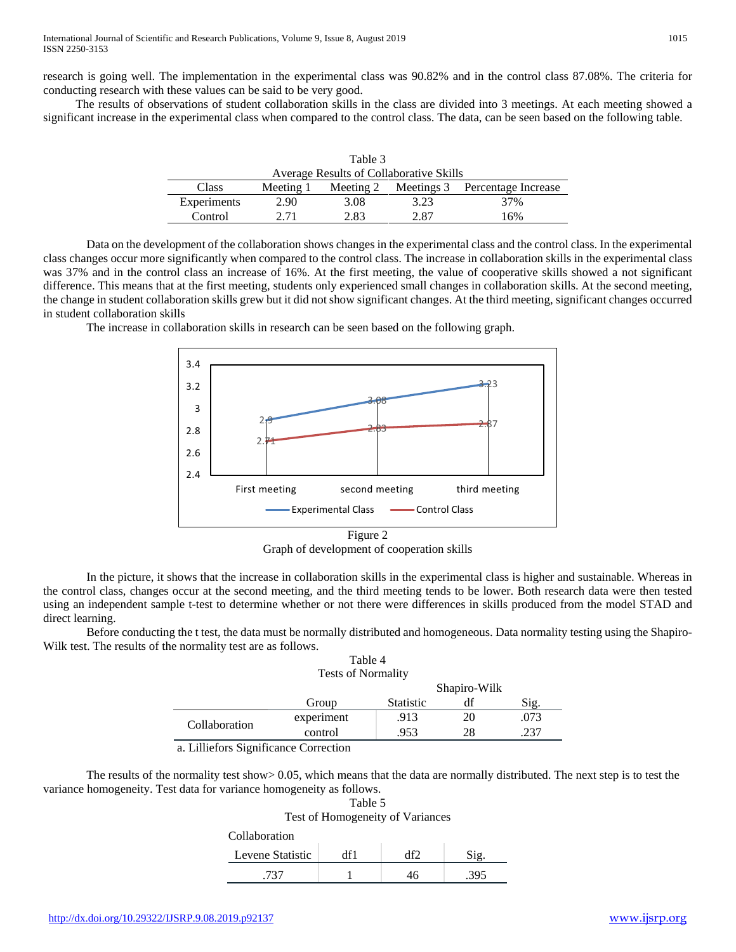research is going well. The implementation in the experimental class was 90.82% and in the control class 87.08%. The criteria for conducting research with these values can be said to be very good.

The results of observations of student collaboration skills in the class are divided into 3 meetings. At each meeting showed a significant increase in the experimental class when compared to the control class. The data, can be seen based on the following table.

| Table 3                                 |           |           |      |                                |
|-----------------------------------------|-----------|-----------|------|--------------------------------|
| Average Results of Collaborative Skills |           |           |      |                                |
| Class                                   | Meeting 1 | Meeting 2 |      | Meetings 3 Percentage Increase |
| Experiments                             | 2.90      | 3.08      | 3.23 | 37%                            |
| Control                                 | 2 71      | 2.83      | 2.87 | 16%                            |

Data on the development of the collaboration shows changes in the experimental class and the control class. In the experimental class changes occur more significantly when compared to the control class. The increase in collaboration skills in the experimental class was 37% and in the control class an increase of 16%. At the first meeting, the value of cooperative skills showed a not significant difference. This means that at the first meeting, students only experienced small changes in collaboration skills. At the second meeting, the change in student collaboration skills grew but it did not show significant changes. At the third meeting, significant changes occurred in student collaboration skills

The increase in collaboration skills in research can be seen based on the following graph.



Graph of development of cooperation skills

In the picture, it shows that the increase in collaboration skills in the experimental class is higher and sustainable. Whereas in the control class, changes occur at the second meeting, and the third meeting tends to be lower. Both research data were then tested using an independent sample t-test to determine whether or not there were differences in skills produced from the model STAD and direct learning.

Before conducting the t test, the data must be normally distributed and homogeneous. Data normality testing using the Shapiro-Wilk test. The results of the normality test are as follows. Table 4

| <b>Tests of Normality</b> |            |                  |              |      |
|---------------------------|------------|------------------|--------------|------|
|                           |            |                  | Shapiro-Wilk |      |
|                           | Group      | <b>Statistic</b> | df           | Sig. |
| Collaboration             | experiment | .913             | 20           | .073 |
|                           | control    | .953             | 28           | 237  |
| $\cdot$ $\sim$<br>$\sim$  | $\sim$     |                  |              |      |

a. Lilliefors Significance Correction

The results of the normality test show  $> 0.05$ , which means that the data are normally distributed. The next step is to test the variance homogeneity. Test data for variance homogeneity as follows. Table 5

| Test of Homogeneity of Variances |     |     |      |
|----------------------------------|-----|-----|------|
| Collaboration                    |     |     |      |
| Levene Statistic                 | df1 | Аf2 | Sio  |
| -737                             |     | 16  | -395 |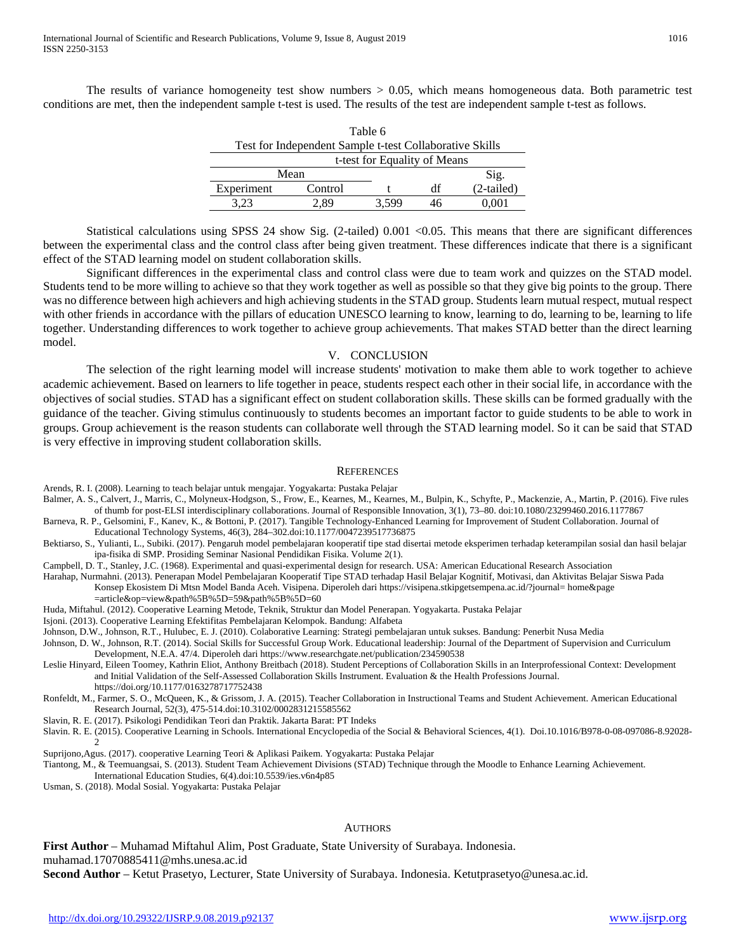The results of variance homogeneity test show numbers > 0.05, which means homogeneous data. Both parametric test conditions are met, then the independent sample t-test is used. The results of the test are independent sample t-test as follows.

| Table 6                                                 |         |       |    |            |
|---------------------------------------------------------|---------|-------|----|------------|
| Test for Independent Sample t-test Collaborative Skills |         |       |    |            |
| t-test for Equality of Means                            |         |       |    |            |
| Mean                                                    |         |       |    | Sig.       |
| Experiment                                              | Control |       | df | (2-tailed) |
| 3.23                                                    | 2.89    | 3.599 | 46 |            |

Statistical calculations using SPSS 24 show Sig. (2-tailed) 0.001 <0.05. This means that there are significant differences between the experimental class and the control class after being given treatment. These differences indicate that there is a significant effect of the STAD learning model on student collaboration skills.

Significant differences in the experimental class and control class were due to team work and quizzes on the STAD model. Students tend to be more willing to achieve so that they work together as well as possible so that they give big points to the group. There was no difference between high achievers and high achieving students in the STAD group. Students learn mutual respect, mutual respect with other friends in accordance with the pillars of education UNESCO learning to know, learning to do, learning to be, learning to life together. Understanding differences to work together to achieve group achievements. That makes STAD better than the direct learning model.

#### V. CONCLUSION

The selection of the right learning model will increase students' motivation to make them able to work together to achieve academic achievement. Based on learners to life together in peace, students respect each other in their social life, in accordance with the objectives of social studies. STAD has a significant effect on student collaboration skills. These skills can be formed gradually with the guidance of the teacher. Giving stimulus continuously to students becomes an important factor to guide students to be able to work in groups. Group achievement is the reason students can collaborate well through the STAD learning model. So it can be said that STAD is very effective in improving student collaboration skills.

#### **REFERENCES**

Arends, R. I. (2008). Learning to teach belajar untuk mengajar. Yogyakarta: Pustaka Pelajar

- Balmer, A. S., Calvert, J., Marris, C., Molyneux-Hodgson, S., Frow, E., Kearnes, M., Kearnes, M., Bulpin, K., Schyfte, P., Mackenzie, A., Martin, P. (2016). Five rules of thumb for post-ELSI interdisciplinary collaborations. Journal of Responsible Innovation, 3(1), 73–80. doi:10.1080/23299460.2016.1177867
- Barneva, R. P., Gelsomini, F., Kanev, K., & Bottoni, P. (2017). Tangible Technology-Enhanced Learning for Improvement of Student Collaboration. Journal of Educational Technology Systems, 46(3), 284–302.doi:10.1177/0047239517736875
- Bektiarso, S., Yulianti, L., Subiki. (2017). Pengaruh model pembelajaran kooperatif tipe stad disertai metode eksperimen terhadap keterampilan sosial dan hasil belajar ipa-fisika di SMP. Prosiding Seminar Nasional Pendidikan Fisika. Volume 2(1).
- Campbell, D. T., Stanley, J.C. (1968). Experimental and quasi-experimental design for research. USA: American Educational Research Association
- Harahap, Nurmahni. (2013). Penerapan Model Pembelajaran Kooperatif Tipe STAD terhadap Hasil Belajar Kognitif, Motivasi, dan Aktivitas Belajar Siswa Pada Konsep Ekosistem Di Mtsn Model Banda Aceh. Visipena. Diperoleh dari https://visipena.stkipgetsempena.ac.id/?journal= home&page
	- =article&op=view&path%5B%5D=59&path%5B%5D=60
- Huda, Miftahul. (2012). Cooperative Learning Metode, Teknik, Struktur dan Model Penerapan. Yogyakarta. Pustaka Pelajar
- Isjoni. (2013). Cooperative Learning Efektifitas Pembelajaran Kelompok. Bandung: Alfabeta
- Johnson, D.W., Johnson, R.T., Hulubec, E. J. (2010). Colaborative Learning: Strategi pembelajaran untuk sukses. Bandung: Penerbit Nusa Media
- Johnson, D. W., Johnson, R.T. (2014). Social Skills for Successful Group Work. Educational leadership: Journal of the Department of Supervision and Curriculum Development, N.E.A. 47/4. Diperoleh dari https://www.researchgate.net/publication/234590538
- Leslie Hinyard, Eileen Toomey, Kathrin Eliot, Anthony Breitbach (2018). Student Perceptions of Collaboration Skills in an Interprofessional Context: Development and Initial Validation of the Self-Assessed Collaboration Skills Instrument. Evaluation & the Health Professions Journal. https://doi.org/10.1177/0163278717752438
- Ronfeldt, M., Farmer, S. O., McQueen, K., & Grissom, J. A. (2015). Teacher Collaboration in Instructional Teams and Student Achievement. American Educational Research Journal, 52(3), 475-514.doi:10.3102/0002831215585562
- Slavin, R. E. (2017). Psikologi Pendidikan Teori dan Praktik. Jakarta Barat: PT Indeks
- Slavin. R. E. (2015). Cooperative Learning in Schools. International Encyclopedia of the Social & Behavioral Sciences, 4(1). Doi.10.1016/B978-0-08-097086-8.92028- 2

Suprijono,Agus. (2017). cooperative Learning Teori & Aplikasi Paikem. Yogyakarta: Pustaka Pelajar

Tiantong, M., & Teemuangsai, S. (2013). Student Team Achievement Divisions (STAD) Technique through the Moodle to Enhance Learning Achievement.

International Education Studies, 6(4).doi:10.5539/ies.v6n4p85

Usman, S. (2018). Modal Sosial. Yogyakarta: Pustaka Pelajar

#### **AUTHORS**

**First Author** – Muhamad Miftahul Alim, Post Graduate, State University of Surabaya. Indonesia. muhamad.17070885411@mhs.unesa.ac.id

**Second Author** – Ketut Prasetyo, Lecturer, State University of Surabaya. Indonesia. Ketutprasetyo@unesa.ac.id.